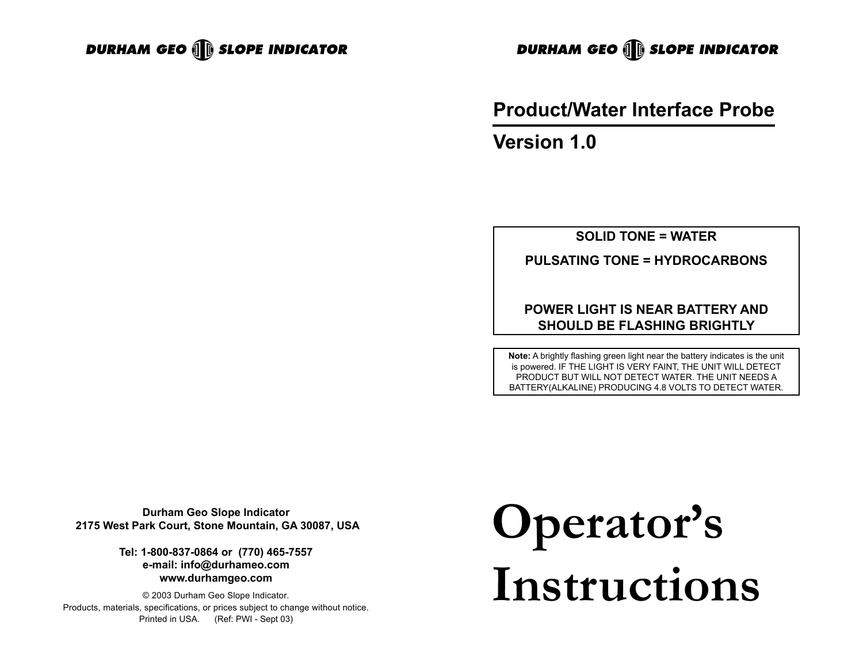### **DURHAM GEO SLOPE INDICATOR**

**DURHAM GEO SLOPE INDICATOR** 

**Product/Water Interface Probe**

**Version 1.0**

**SOLID TONE = WATER**

**PULSATING TONE = HYDROCARBONS**

### **POWER LIGHT IS NEAR BATTERY AND SHOULD BE FLASHING BRIGHTLY**

**Note:** A brightly flashing green light near the battery indicates is the unit is powered. IF THE LIGHT IS VERY FAINT, THE UNIT WILL DETECT PRODUCT BUT WILL NOT DETECT WATER. THE UNIT NEEDS A BATTERY(ALKALINE) PRODUCING 4.8 VOLTS TO DETECT WATER.

**Durham Geo Slope Indicator 2175 West Park Court, Stone Mountain, GA 30087, USA**

> **Tel: 1-800-837-0864 or (770) 465-7557 e-mail: info@durhameo.com www.durhamgeo.com**

Products, materials, specifications, or prices subject to change without notice. Printed in USA. (Ref: PWI - Sept 03)

**Operator's**  e-mail: into@durhamgeo.com<br>
www.durhamgeo.com<br>
Specifications, or prices subject to change without notice.<br> **Instructions**, or prices subject to change without notice.